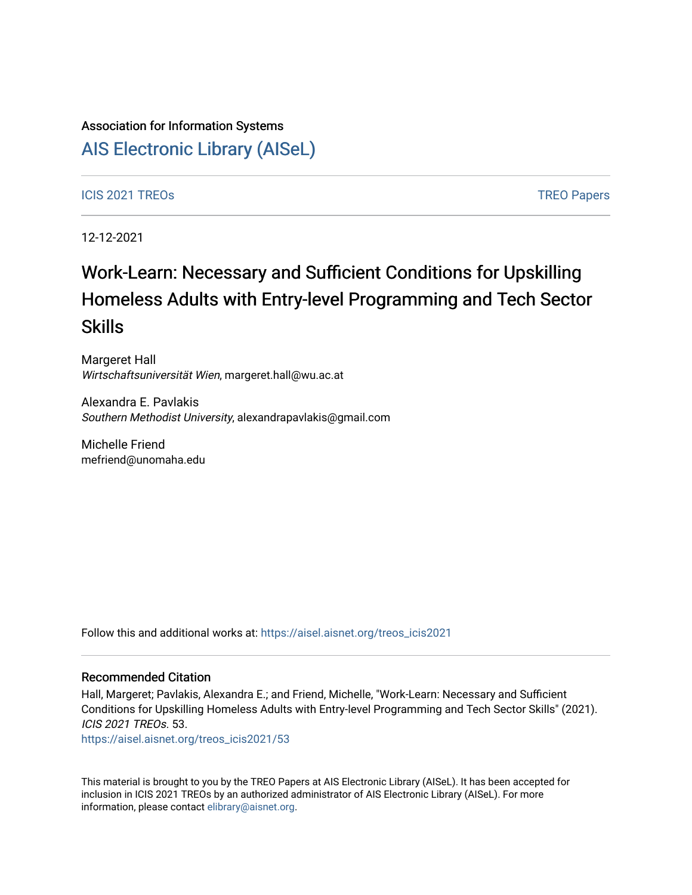## Association for Information Systems

[AIS Electronic Library \(AISeL\)](https://aisel.aisnet.org/)

### ICIS 2021 TREOS Notes that the contract of the contract of the contract of the contract of the contract of the contract of the contract of the contract of the contract of the contract of the contract of the contract of the

12-12-2021

# Work-Learn: Necessary and Sufficient Conditions for Upskilling Homeless Adults with Entry-level Programming and Tech Sector Skills

Margeret Hall Wirtschaftsuniversität Wien, margeret.hall@wu.ac.at

Alexandra E. Pavlakis Southern Methodist University, alexandrapavlakis@gmail.com

Michelle Friend mefriend@unomaha.edu

Follow this and additional works at: [https://aisel.aisnet.org/treos\\_icis2021](https://aisel.aisnet.org/treos_icis2021?utm_source=aisel.aisnet.org%2Ftreos_icis2021%2F53&utm_medium=PDF&utm_campaign=PDFCoverPages) 

#### Recommended Citation

Hall, Margeret; Pavlakis, Alexandra E.; and Friend, Michelle, "Work-Learn: Necessary and Sufficient Conditions for Upskilling Homeless Adults with Entry-level Programming and Tech Sector Skills" (2021). ICIS 2021 TREOs. 53.

[https://aisel.aisnet.org/treos\\_icis2021/53](https://aisel.aisnet.org/treos_icis2021/53?utm_source=aisel.aisnet.org%2Ftreos_icis2021%2F53&utm_medium=PDF&utm_campaign=PDFCoverPages) 

This material is brought to you by the TREO Papers at AIS Electronic Library (AISeL). It has been accepted for inclusion in ICIS 2021 TREOs by an authorized administrator of AIS Electronic Library (AISeL). For more information, please contact [elibrary@aisnet.org.](mailto:elibrary@aisnet.org%3E)